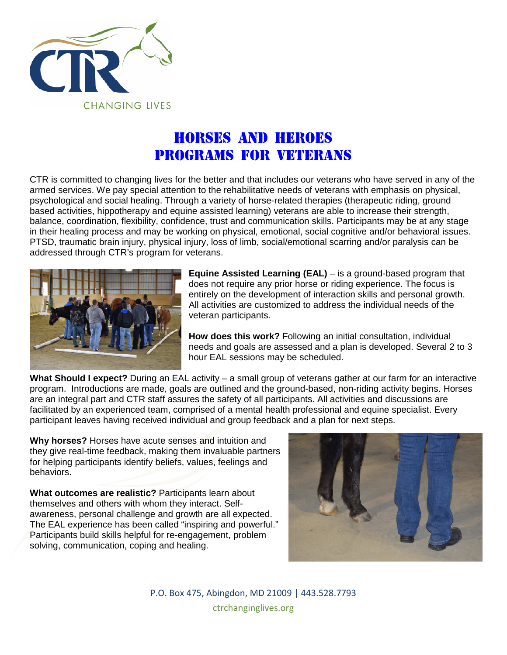

## Horses And Heroes Programs for veterans

CTR is committed to changing lives for the better and that includes our veterans who have served in any of the armed services. We pay special attention to the rehabilitative needs of veterans with emphasis on physical, psychological and social healing. Through a variety of horse-related therapies (therapeutic riding, ground based activities, hippotherapy and equine assisted learning) veterans are able to increase their strength, balance, coordination, flexibility, confidence, trust and communication skills. Participants may be at any stage in their healing process and may be working on physical, emotional, social cognitive and/or behavioral issues. PTSD, traumatic brain injury, physical injury, loss of limb, social/emotional scarring and/or paralysis can be addressed through CTR's program for veterans.



**Equine Assisted Learning (EAL)** – is a ground-based program that does not require any prior horse or riding experience. The focus is entirely on the development of interaction skills and personal growth. All activities are customized to address the individual needs of the veteran participants.

**How does this work?** Following an initial consultation, individual needs and goals are assessed and a plan is developed. Several 2 to 3 hour EAL sessions may be scheduled.

**What Should I expect?** During an EAL activity – a small group of veterans gather at our farm for an interactive program. Introductions are made, goals are outlined and the ground-based, non-riding activity begins. Horses are an integral part and CTR staff assures the safety of all participants. All activities and discussions are facilitated by an experienced team, comprised of a mental health professional and equine specialist. Every participant leaves having received individual and group feedback and a plan for next steps.

**Why horses?** Horses have acute senses and intuition and they give real-time feedback, making them invaluable partners for helping participants identify beliefs, values, feelings and behaviors.

**What outcomes are realistic?** Participants learn about themselves and others with whom they interact. Selfawareness, personal challenge and growth are all expected. The EAL experience has been called "inspiring and powerful." Participants build skills helpful for re-engagement, problem solving, communication, coping and healing.



P.O. Box 475, Abingdon, MD 21009 | 443.528.7793 ctrchanginglives.org